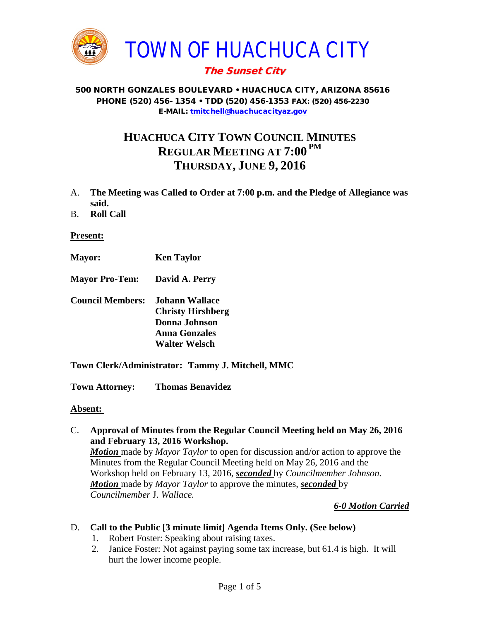

# The Sunset City

### 500 NORTH GONZALES BOULEVARD • HUACHUCA CITY, ARIZONA 85616 PHONE (520) 456- 1354 • TDD (520) 456-1353 FAX: (520) 456-2230 E-MAIL: [tmitchell@huachucacityaz.gov](mailto:tmitchell@huachucacityaz.gov)

# **HUACHUCA CITY TOWN COUNCIL MINUTES REGULAR MEETING AT 7:00 PM THURSDAY, JUNE 9, 2016**

- A. **The Meeting was Called to Order at 7:00 p.m. and the Pledge of Allegiance was said.**
- B. **Roll Call**

### **Present:**

- **Mayor: Ken Taylor**
- **Mayor Pro-Tem: David A. Perry**
- **Council Members: Johann Wallace Christy Hirshberg Donna Johnson Anna Gonzales Walter Welsch**
- **Town Clerk/Administrator: Tammy J. Mitchell, MMC**

**Town Attorney: Thomas Benavidez**

### **Absent:**

C. **Approval of Minutes from the Regular Council Meeting held on May 26, 2016 and February 13, 2016 Workshop.**

*Motion* made by *Mayor Taylor* to open for discussion and/or action to approve the Minutes from the Regular Council Meeting held on May 26, 2016 and the Workshop held on February 13, 2016, *seconded* by *Councilmember Johnson. Motion* made by *Mayor Taylor* to approve the minutes, *seconded* by *Councilmember* J. *Wallace.*

### *6-0 Motion Carried*

### D. **Call to the Public [3 minute limit] Agenda Items Only. (See below)**

- 1. Robert Foster: Speaking about raising taxes.
- 2. Janice Foster: Not against paying some tax increase, but 61.4 is high. It will hurt the lower income people.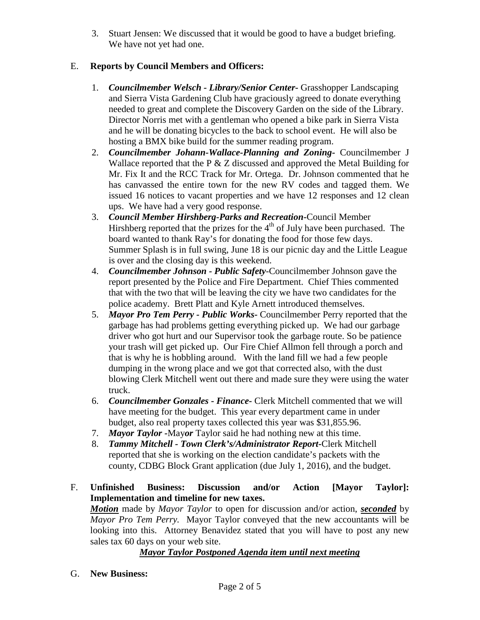3. Stuart Jensen: We discussed that it would be good to have a budget briefing. We have not yet had one.

# E. **Reports by Council Members and Officers:**

- 1. *Councilmember Welsch - Library/Senior Center***-** Grasshopper Landscaping and Sierra Vista Gardening Club have graciously agreed to donate everything needed to great and complete the Discovery Garden on the side of the Library. Director Norris met with a gentleman who opened a bike park in Sierra Vista and he will be donating bicycles to the back to school event. He will also be hosting a BMX bike build for the summer reading program.
- 2. *Councilmember Johann-Wallace-Planning and Zoning***-** Councilmember J Wallace reported that the P & Z discussed and approved the Metal Building for Mr. Fix It and the RCC Track for Mr. Ortega. Dr. Johnson commented that he has canvassed the entire town for the new RV codes and tagged them. We issued 16 notices to vacant properties and we have 12 responses and 12 clean ups. We have had a very good response.
- 3. *Council Member Hirshberg-Parks and Recreation***-**Council Member Hirshberg reported that the prizes for the  $4<sup>th</sup>$  of July have been purchased. The board wanted to thank Ray's for donating the food for those few days. Summer Splash is in full swing, June 18 is our picnic day and the Little League is over and the closing day is this weekend.
- 4. *Councilmember Johnson - Public Safety-*Councilmember Johnson gave the report presented by the Police and Fire Department. Chief Thies commented that with the two that will be leaving the city we have two candidates for the police academy. Brett Platt and Kyle Arnett introduced themselves.
- 5. *Mayor Pro Tem Perry - Public Works-* Councilmember Perry reported that the garbage has had problems getting everything picked up. We had our garbage driver who got hurt and our Supervisor took the garbage route. So be patience your trash will get picked up. Our Fire Chief Allmon fell through a porch and that is why he is hobbling around. With the land fill we had a few people dumping in the wrong place and we got that corrected also, with the dust blowing Clerk Mitchell went out there and made sure they were using the water truck.
- 6. *Councilmember Gonzales - Finance-* Clerk Mitchell commented that we will have meeting for the budget. This year every department came in under budget, also real property taxes collected this year was \$31,855.96.
- 7. *Mayor Taylor -*May*or* Taylor said he had nothing new at this time.
- 8. *Tammy Mitchell - Town Clerk's/Administrator Report-*Clerk Mitchell reported that she is working on the election candidate's packets with the county, CDBG Block Grant application (due July 1, 2016), and the budget.
- F. **Unfinished Business: Discussion and/or Action [Mayor Taylor]: Implementation and timeline for new taxes.** *Motion* made by *Mayor Taylor* to open for discussion and/or action, *seconded* by *Mayor Pro Tem Perry.* Mayor Taylor conveyed that the new accountants will be looking into this. Attorney Benavidez stated that you will have to post any new sales tax 60 days on your web site.

*Mayor Taylor Postponed Agenda item until next meeting*

G. **New Business:**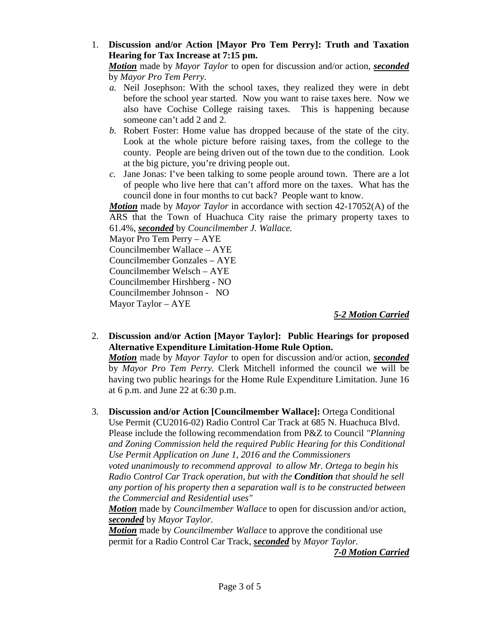### 1. **Discussion and/or Action [Mayor Pro Tem Perry]: Truth and Taxation Hearing for Tax Increase at 7:15 pm.**

*Motion* made by *Mayor Taylor* to open for discussion and/or action, *seconded* by *Mayor Pro Tem Perry.*

- *a.* Neil Josephson: With the school taxes, they realized they were in debt before the school year started. Now you want to raise taxes here. Now we also have Cochise College raising taxes. This is happening because someone can't add 2 and 2.
- *b.* Robert Foster: Home value has dropped because of the state of the city. Look at the whole picture before raising taxes, from the college to the county. People are being driven out of the town due to the condition. Look at the big picture, you're driving people out.
- *c.* Jane Jonas: I've been talking to some people around town. There are a lot of people who live here that can't afford more on the taxes. What has the council done in four months to cut back? People want to know.

*Motion* made by *Mayor Taylor* in accordance with section 42-17052(A) of the ARS that the Town of Huachuca City raise the primary property taxes to 61.4%, *seconded* by *Councilmember J. Wallace.*

Mayor Pro Tem Perry – AYE

Councilmember Wallace – AYE

Councilmember Gonzales – AYE

Councilmember Welsch – AYE

Councilmember Hirshberg - NO

Councilmember Johnson - NO

Mayor Taylor – AYE

*5-2 Motion Carried*

2. **Discussion and/or Action [Mayor Taylor]: Public Hearings for proposed Alternative Expenditure Limitation-Home Rule Option.** 

*Motion* made by *Mayor Taylor* to open for discussion and/or action, *seconded* by *Mayor Pro Tem Perry.* Clerk Mitchell informed the council we will be having two public hearings for the Home Rule Expenditure Limitation. June 16 at 6 p.m. and June 22 at 6:30 p.m.

3. **Discussion and/or Action [Councilmember Wallace]:** Ortega Conditional

Use Permit (CU2016-02) Radio Control Car Track at 685 N. Huachuca Blvd. Please include the following recommendation from P&Z to Council *"Planning and Zoning Commission held the required Public Hearing for this Conditional Use Permit Application on June 1, 2016 and the Commissioners* 

*voted unanimously to recommend approval to allow Mr. Ortega to begin his Radio Control Car Track operation, but with the Condition that should he sell any portion of his property then a separation wall is to be constructed between the Commercial and Residential uses"*

*Motion* made by *Councilmember Wallace* to open for discussion and/or action, *seconded* by *Mayor Taylor.*

*Motion* made by *Councilmember Wallace* to approve the conditional use permit for a Radio Control Car Track, *seconded* by *Mayor Taylor.*

*7-0 Motion Carried*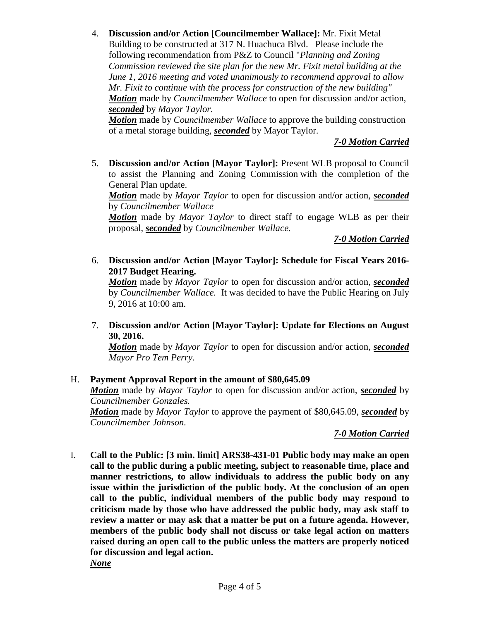4. **Discussion and/or Action [Councilmember Wallace]:** Mr. Fixit Metal Building to be constructed at 317 N. Huachuca Blvd. Please include the following recommendation from P&Z to Council "*Planning and Zoning Commission reviewed the site plan for the new Mr. Fixit metal building at the June 1, 2016 meeting and voted unanimously to recommend approval to allow Mr. Fixit to continue with the process for construction of the new building" Motion* made by *Councilmember Wallace* to open for discussion and/or action, *seconded* by *Mayor Taylor.*

*Motion* made by *Councilmember Wallace* to approve the building construction of a metal storage building, *seconded* by Mayor Taylor.

## *7-0 Motion Carried*

5. **Discussion and/or Action [Mayor Taylor]:** Present WLB proposal to Council to assist the Planning and Zoning Commission with the completion of the General Plan update.

*Motion* made by *Mayor Taylor* to open for discussion and/or action, *seconded* by *Councilmember Wallace*

*Motion* made by *Mayor Taylor* to direct staff to engage WLB as per their proposal, *seconded* by *Councilmember Wallace.*

*7-0 Motion Carried*

6. **Discussion and/or Action [Mayor Taylor]: Schedule for Fiscal Years 2016- 2017 Budget Hearing.** 

*Motion* made by *Mayor Taylor* to open for discussion and/or action, *seconded* by *Councilmember Wallace.* It was decided to have the Public Hearing on July 9, 2016 at 10:00 am.

7. **Discussion and/or Action [Mayor Taylor]: Update for Elections on August 30, 2016.**

*Motion* made by *Mayor Taylor* to open for discussion and/or action, *seconded Mayor Pro Tem Perry.*

### H. **Payment Approval Report in the amount of \$80,645.09**

*Motion* made by *Mayor Taylor* to open for discussion and/or action, *seconded* by *Councilmember Gonzales.*

*Motion* made by *Mayor Taylor* to approve the payment of \$80,645.09, *seconded* by *Councilmember Johnson.*

# *7-0 Motion Carried*

I. **Call to the Public: [3 min. limit] ARS38-431-01 Public body may make an open call to the public during a public meeting, subject to reasonable time, place and manner restrictions, to allow individuals to address the public body on any issue within the jurisdiction of the public body. At the conclusion of an open call to the public, individual members of the public body may respond to criticism made by those who have addressed the public body, may ask staff to review a matter or may ask that a matter be put on a future agenda. However, members of the public body shall not discuss or take legal action on matters raised during an open call to the public unless the matters are properly noticed for discussion and legal action.**

*None*